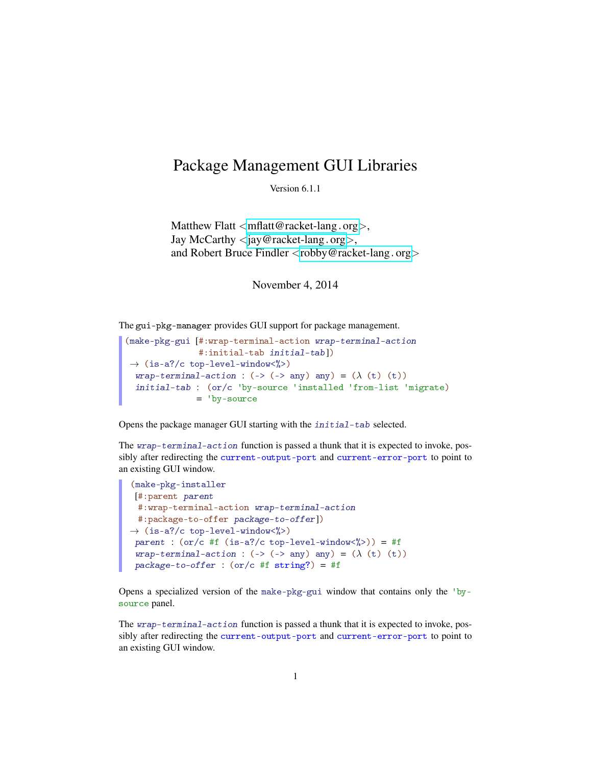## Package Management GUI Libraries

Version 6.1.1

Matthew Flatt  $\langle \text{mflatt@racket-lang.org} \rangle$  $\langle \text{mflatt@racket-lang.org} \rangle$  $\langle \text{mflatt@racket-lang.org} \rangle$ , Jay McCarthy  $\langle$ [jay@racket-lang](mailto:jay@racket-lang.org).org $\rangle$ , and Robert Bruce Findler <[robby@racket-lang](mailto:robby@racket-lang.org).org>

November 4, 2014

The gui-pkg-manager provides GUI support for package management.

```
(make-pkg-gui [#:wrap-terminal-action wrap-terminal-action
                 #:initial-tab initial-tab])
\rightarrow (is-a?/c top-level-window<%>)
 wrap-terminal-action : (\rightarrow \Rightarrow \Rightarrow \text{any}) any) = (\lambda \text{ (t)} (t))initial-tab : (or/c 'by-source 'installed 'from-list 'migrate)
                 = 'by-source
```
Opens the package manager GUI starting with the initial-tab selected.

The wrap-terminal-action function is passed a thunk that it is expected to invoke, possibly after redirecting the current-output-port and current-error-port to point to an existing GUI window.

```
(make-pkg-installer
 [#:parent parent
 #:wrap-terminal-action wrap-terminal-action
 #:package-to-offer package-to-offer])
\rightarrow (is-a?/c top-level-window<%>)
 parent : (or/c #f (is-a]/c top-level-window\langle\langle\rangle\rangle) = #f
 wrap-terminal-action : (-) (-) \langle - \rangle any) any) = (\lambda \text{ (t) (t)})package-to-offer : (or/c #f string?) = #f
```
Opens a specialized version of the make-pkg-gui window that contains only the 'bysource panel.

The wrap-terminal-action function is passed a thunk that it is expected to invoke, possibly after redirecting the current-output-port and current-error-port to point to an existing GUI window.